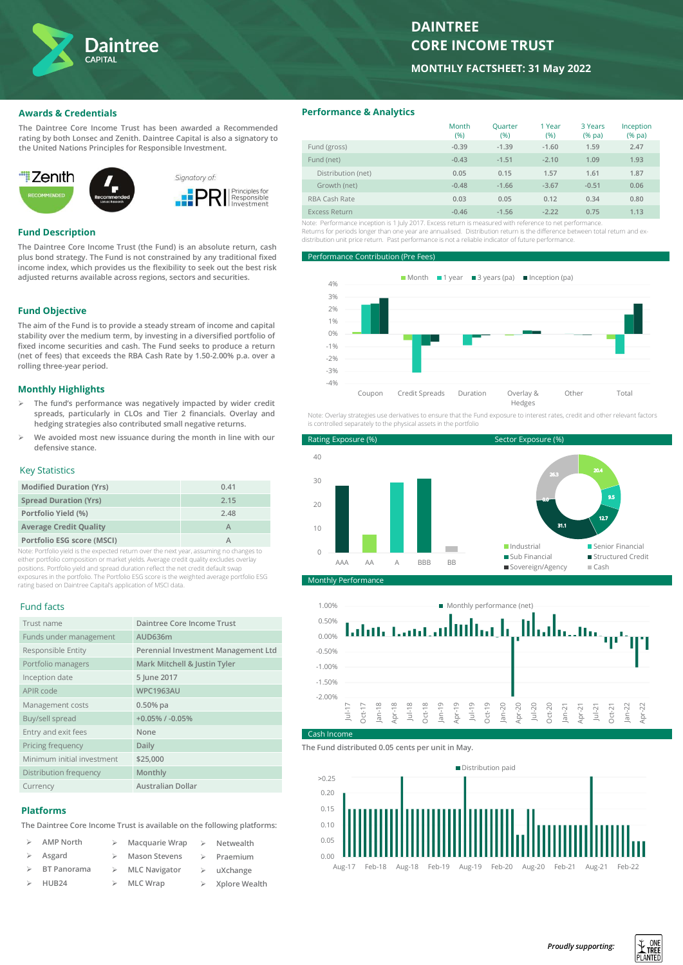

# **DAINTREE CORE INCOME TRUST**

**MONTHLY FACTSHEET: 31 May 2022**

## **Awards & Credentials**

**The Daintree Core Income Trust has been awarded a Recommended rating by both Lonsec and Zenith. Daintree Capital is also a signatory to the United Nations Principles for Responsible Investment.**



## **Fund Description**

**The Daintree Core Income Trust (the Fund) is an absolute return, cash plus bond strategy. The Fund is not constrained by any traditional fixed income index, which provides us the flexibility to seek out the best risk adjusted returns available across regions, sectors and securities.** 

## **Fund Objective**

**The aim of the Fund is to provide a steady stream of income and capital stability over the medium term, by investing in a diversified portfolio of fixed income securities and cash. The Fund seeks to produce a return (net of fees) that exceeds the RBA Cash Rate by 1.50-2.00% p.a. over a rolling three-year period.**

# **Monthly Highlights**

- ➢ **The fund's performance was negatively impacted by wider credit spreads, particularly in CLOs and Tier 2 financials. Overlay and hedging strategies also contributed small negative returns.**
- ➢ **We avoided most new issuance during the month in line with our defensive stance.**

## Key Statistics

| <b>Modified Duration (Yrs)</b> | 0.41 |
|--------------------------------|------|
| <b>Spread Duration (Yrs)</b>   | 2.15 |
| Portfolio Yield (%)            | 2.48 |
| <b>Average Credit Quality</b>  |      |
| Portfolio ESG score (MSCI)     |      |

Note: Portfolio yield is the expected return over the next year, assuming no changes to either portfolio composition or market yields. Average credit quality excludes overlay positions. Portfolio yield and spread duration reflect the net credit default swap exposures in the portfolio. The Portfolio ESG score is the weighted average portfolio ESG rating based on Daintree Capital's application of MSCI data.

#### Fund facts

| Trust name                 | Daintree Core Income Trust          |
|----------------------------|-------------------------------------|
| Funds under management     | AUD636m                             |
| Responsible Entity         | Perennial Investment Management Ltd |
| Portfolio managers         | Mark Mitchell & Justin Tyler        |
| Inception date             | 5 June 2017                         |
| APIR code                  | <b>WPC1963AU</b>                    |
| Management costs           | $0.50%$ pa                          |
| Buy/sell spread            | $+0.05\%$ / $-0.05\%$               |
| Entry and exit fees        | None                                |
| Pricing frequency          | Daily                               |
| Minimum initial investment | \$25,000                            |
| Distribution frequency     | Monthly                             |
| Currency                   | Australian Dollar                   |

# **Platforms**

**The Daintree Core Income Trust is available on the following platforms:**

| $\rightarrow$ | AMP North                    | Macquarie Wrap                 | $\triangleright$ Netwealth     |
|---------------|------------------------------|--------------------------------|--------------------------------|
|               | $\triangleright$ Asgard      | $\triangleright$ Mason Stevens | $\triangleright$ Praemium      |
|               | $\triangleright$ BT Panorama | $\triangleright$ MLC Navigator | $\triangleright$ uXchange      |
|               | $\triangleright$ HUB24       | $\triangleright$ MLC Wrap      | $\triangleright$ Xplore Wealth |

# **Performance & Analytics**

|                    | Month<br>(%) | Quarter<br>(%) | 1 Year<br>(%) | 3 Years<br>$(%$ (% pa) | Inception<br>$(%$ (% pa) |
|--------------------|--------------|----------------|---------------|------------------------|--------------------------|
| Fund (gross)       | $-0.39$      | $-1.39$        | $-1.60$       | 1.59                   | 2.47                     |
| Fund (net)         | $-0.43$      | $-1.51$        | $-2.10$       | 1.09                   | 1.93                     |
| Distribution (net) | 0.05         | 0.15           | 1.57          | 1.61                   | 1.87                     |
| Growth (net)       | $-0.48$      | $-1.66$        | $-3.67$       | $-0.51$                | 0.06                     |
| RBA Cash Rate      | 0.03         | 0.05           | 0.12          | 0.34                   | 0.80                     |
| Excess Return      | $-0.46$      | $-1.56$        | $-2.22$       | 0.75                   | 1.13                     |

Note: Performance inception is 1 July 2017. Excess return is measured with reference to net performance. Returns for periods longer than one year are annualised. Distribution return is the difference between total return and exdistribution unit price return. Past performance is not a reliable indicator of future performance.

**Performance Contribution (Pre Fees**)



Note: Overlay strategies use derivatives to ensure that the Fund exposure to interest rates, credit and other relevant factors is controlled separately to the physical assets in the portfolion





**The Fund distributed 0.05 cents per unit in May.**